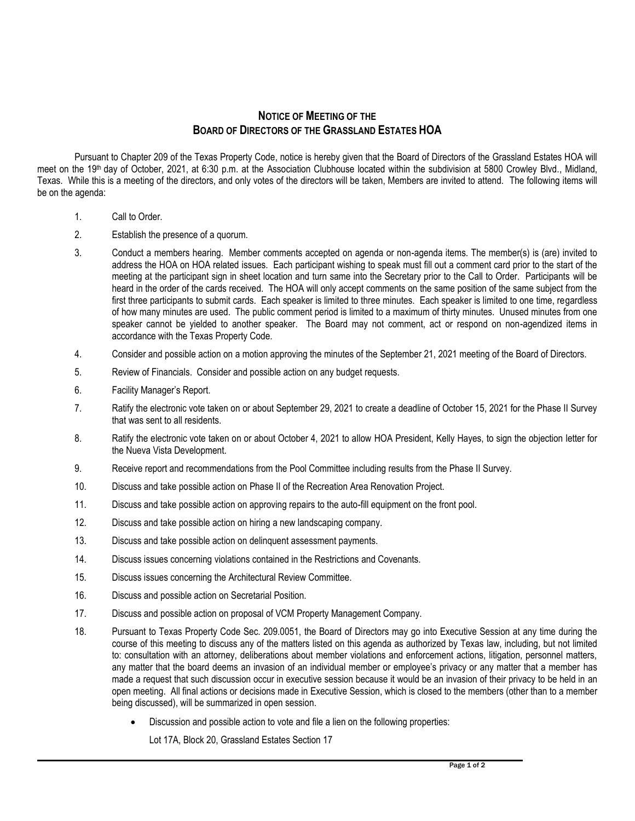## **NOTICE OF MEETING OF THE BOARD OF DIRECTORS OF THE GRASSLAND ESTATES HOA**

Pursuant to Chapter 209 of the Texas Property Code, notice is hereby given that the Board of Directors of the Grassland Estates HOA will meet on the 19<sup>th</sup> day of October, 2021, at 6:30 p.m. at the Association Clubhouse located within the subdivision at 5800 Crowley Blvd., Midland, Texas. While this is a meeting of the directors, and only votes of the directors will be taken, Members are invited to attend. The following items will be on the agenda:

- 1. Call to Order.
- 2. Establish the presence of a quorum.
- 3. Conduct a members hearing. Member comments accepted on agenda or non-agenda items. The member(s) is (are) invited to address the HOA on HOA related issues. Each participant wishing to speak must fill out a comment card prior to the start of the meeting at the participant sign in sheet location and turn same into the Secretary prior to the Call to Order. Participants will be heard in the order of the cards received. The HOA will only accept comments on the same position of the same subject from the first three participants to submit cards. Each speaker is limited to three minutes. Each speaker is limited to one time, regardless of how many minutes are used. The public comment period is limited to a maximum of thirty minutes. Unused minutes from one speaker cannot be yielded to another speaker. The Board may not comment, act or respond on non-agendized items in accordance with the Texas Property Code.
- 4. Consider and possible action on a motion approving the minutes of the September 21, 2021 meeting of the Board of Directors.
- 5. Review of Financials. Consider and possible action on any budget requests.
- 6. Facility Manager's Report.
- 7. Ratify the electronic vote taken on or about September 29, 2021 to create a deadline of October 15, 2021 for the Phase II Survey that was sent to all residents.
- 8. Ratify the electronic vote taken on or about October 4, 2021 to allow HOA President, Kelly Hayes, to sign the objection letter for the Nueva Vista Development.
- 9. Receive report and recommendations from the Pool Committee including results from the Phase II Survey.
- 10. Discuss and take possible action on Phase II of the Recreation Area Renovation Project.
- 11. Discuss and take possible action on approving repairs to the auto-fill equipment on the front pool.
- 12. Discuss and take possible action on hiring a new landscaping company.
- 13. Discuss and take possible action on delinquent assessment payments.
- 14. Discuss issues concerning violations contained in the Restrictions and Covenants.
- 15. Discuss issues concerning the Architectural Review Committee.
- 16. Discuss and possible action on Secretarial Position.
- 17. Discuss and possible action on proposal of VCM Property Management Company.
- 18. Pursuant to Texas Property Code Sec. 209.0051, the Board of Directors may go into Executive Session at any time during the course of this meeting to discuss any of the matters listed on this agenda as authorized by Texas law, including, but not limited to: consultation with an attorney, deliberations about member violations and enforcement actions, litigation, personnel matters, any matter that the board deems an invasion of an individual member or employee's privacy or any matter that a member has made a request that such discussion occur in executive session because it would be an invasion of their privacy to be held in an open meeting. All final actions or decisions made in Executive Session, which is closed to the members (other than to a member being discussed), will be summarized in open session.
	- Discussion and possible action to vote and file a lien on the following properties:

Lot 17A, Block 20, Grassland Estates Section 17